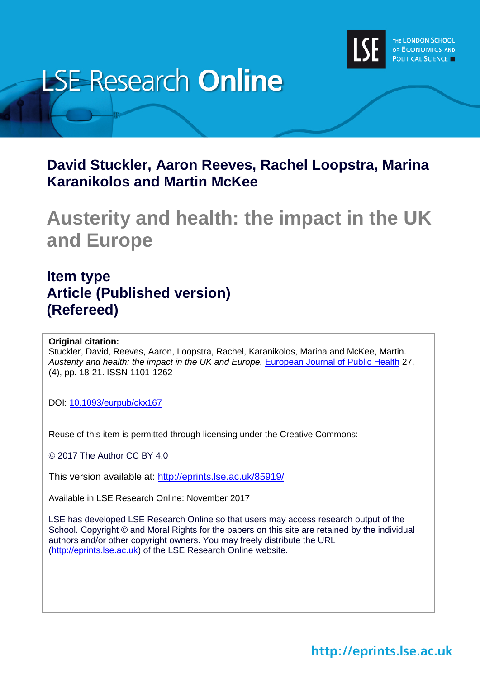

# **LSE Research Online**

# **David Stuckler, Aaron Reeves, Rachel Loopstra, Marina Karanikolos and Martin McKee**

# **Austerity and health: the impact in the UK and Europe**

# **Item type Article (Published version) (Refereed)**

# **Original citation:**

Stuckler, David, Reeves, Aaron, Loopstra, Rachel, Karanikolos, Marina and McKee, Martin. *Austerity and health: the impact in the UK and Europe. [European Journal of Public Health](https://academic.oup.com/eurpub) 27,* (4), pp. 18-21. ISSN 1101-1262

DOI: [10.1093/eurpub/ckx167](http://dx.doi.org/10.1093/eurpub/ckx167)

Reuse of this item is permitted through licensing under the Creative Commons:

© 2017 The Author CC BY 4.0

This version available at: <http://eprints.lse.ac.uk/85919/>

Available in LSE Research Online: November 2017

LSE has developed LSE Research Online so that users may access research output of the School. Copyright © and Moral Rights for the papers on this site are retained by the individual authors and/or other copyright owners. You may freely distribute the URL (http://eprints.lse.ac.uk) of the LSE Research Online website.

# http://eprints.lse.ac.uk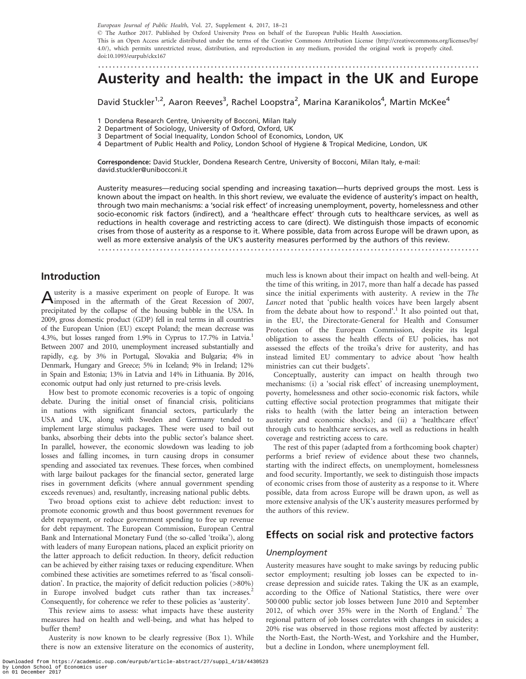European Journal of Public Health, Vol. 27, Supplement 4, 2017, 18–21 - The Author 2017. Published by Oxford University Press on behalf of the European Public Health Association. This is an Open Access article distributed under the terms of the Creative Commons Attribution License (http://creativecommons.org/licenses/by/ 4.0/), which permits unrestricted reuse, distribution, and reproduction in any medium, provided the original work is properly cited. doi:10.1093/eurpub/ckx167

# ......................................................................................................... Austerity and health: the impact in the UK and Europe

David Stuckler<sup>1,2</sup>, Aaron Reeves<sup>3</sup>, Rachel Loopstra<sup>2</sup>, Marina Karanikolos<sup>4</sup>, Martin McKee<sup>4</sup>

1 Dondena Research Centre, University of Bocconi, Milan Italy

- 2 Department of Sociology, University of Oxford, Oxford, UK
- 3 Department of Social Inequality, London School of Economics, London, UK
- 4 Department of Public Health and Policy, London School of Hygiene & Tropical Medicine, London, UK

Correspondence: David Stuckler, Dondena Research Centre, University of Bocconi, Milan Italy, e-mail: david.stuckler@unibocconi.it

Austerity measures—reducing social spending and increasing taxation—hurts deprived groups the most. Less is known about the impact on health. In this short review, we evaluate the evidence of austerity's impact on health, through two main mechanisms: a 'social risk effect' of increasing unemployment, poverty, homelessness and other socio-economic risk factors (indirect), and a 'healthcare effect' through cuts to healthcare services, as well as reductions in health coverage and restricting access to care (direct). We distinguish those impacts of economic crises from those of austerity as a response to it. Where possible, data from across Europe will be drawn upon, as well as more extensive analysis of the UK's austerity measures performed by the authors of this review.

.........................................................................................................

### Introduction

Austerity is a massive experiment on people of Europe. It was imposed in the aftermath of the Great Recession of 2007, precipitated by the collapse of the housing bubble in the USA. In 2009, gross domestic product (GDP) fell in real terms in all countries of the European Union (EU) except Poland; the mean decrease was 4.3%, but losses ranged from 1.9% in Cyprus to 17.7% in Latvia.<sup>1</sup> Between 2007 and 2010, unemployment increased substantially and rapidly, e.g. by 3% in Portugal, Slovakia and Bulgaria; 4% in Denmark, Hungary and Greece; 5% in Iceland; 9% in Ireland; 12% in Spain and Estonia; 13% in Latvia and 14% in Lithuania. By 2016, economic output had only just returned to pre-crisis levels.

How best to promote economic recoveries is a topic of ongoing debate. During the initial onset of financial crisis, politicians in nations with significant financial sectors, particularly the USA and UK, along with Sweden and Germany tended to implement large stimulus packages. These were used to bail out banks, absorbing their debts into the public sector's balance sheet. In parallel, however, the economic slowdown was leading to job losses and falling incomes, in turn causing drops in consumer spending and associated tax revenues. These forces, when combined with large bailout packages for the financial sector, generated large rises in government deficits (where annual government spending exceeds revenues) and, resultantly, increasing national public debts.

Two broad options exist to achieve debt reduction: invest to promote economic growth and thus boost government revenues for debt repayment, or reduce government spending to free up revenue for debt repayment. The European Commission, European Central Bank and International Monetary Fund (the so-called 'troika'), along with leaders of many European nations, placed an explicit priority on the latter approach to deficit reduction. In theory, deficit reduction can be achieved by either raising taxes or reducing expenditure. When combined these activities are sometimes referred to as 'fiscal consolidation'. In practice, the majority of deficit reduction policies (>80%) in Europe involved budget cuts rather than tax increases.<sup>2</sup> Consequently, for coherence we refer to these policies as 'austerity'.

This review aims to assess: what impacts have these austerity measures had on health and well-being, and what has helped to buffer them?

Austerity is now known to be clearly regressive (Box 1). While there is now an extensive literature on the economics of austerity,

Downloaded from https://academic.oup.com/eurpub/article-abstract/27/suppl\_4/18/4430523 by London School of Economics user on 01 December 2017

much less is known about their impact on health and well-being. At the time of this writing, in 2017, more than half a decade has passed since the initial experiments with austerity. A review in the The Lancet noted that 'public health voices have been largely absent from the debate about how to respond'.<sup>[1](#page-4-0)</sup> It also pointed out that, in the EU, the Directorate-General for Health and Consumer Protection of the European Commission, despite its legal obligation to assess the health effects of EU policies, has not assessed the effects of the troika's drive for austerity, and has instead limited EU commentary to advice about 'how health ministries can cut their budgets'.

Conceptually, austerity can impact on health through two mechanisms: (i) a 'social risk effect' of increasing unemployment, poverty, homelessness and other socio-economic risk factors, while cutting effective social protection programmes that mitigate their risks to health (with the latter being an interaction between austerity and economic shocks); and (ii) a 'healthcare effect' through cuts to healthcare services, as well as reductions in health coverage and restricting access to care.

The rest of this paper (adapted from a forthcoming book chapter) performs a brief review of evidence about these two channels, starting with the indirect effects, on unemployment, homelessness and food security. Importantly, we seek to distinguish those impacts of economic crises from those of austerity as a response to it. Where possible, data from across Europe will be drawn upon, as well as more extensive analysis of the UK's austerity measures performed by the authors of this review.

### Effects on social risk and protective factors

#### Unemployment

Austerity measures have sought to make savings by reducing public sector employment; resulting job losses can be expected to increase depression and suicide rates. Taking the UK as an example, according to the Office of National Statistics, there were over 500 000 public sector job losses between June 2010 and September [2](#page-4-0)012, of which over  $35\%$  were in the North of England.<sup>2</sup> The regional pattern of job losses correlates with changes in suicides; a 20% rise was observed in those regions most affected by austerity: the North-East, the North-West, and Yorkshire and the Humber, but a decline in London, where unemployment fell.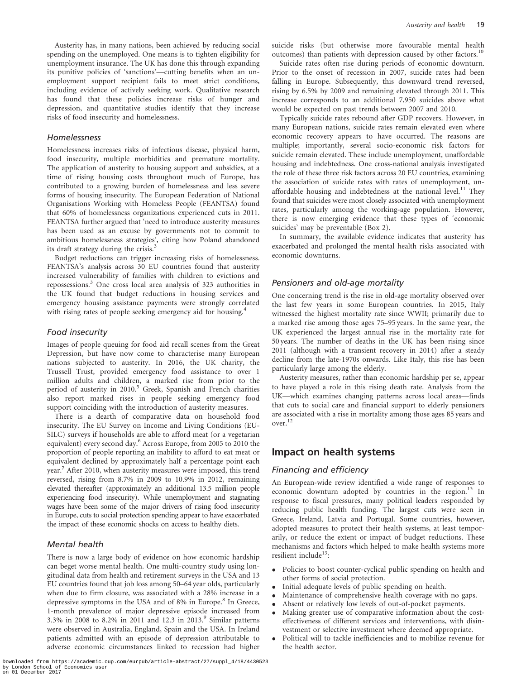Austerity has, in many nations, been achieved by reducing social spending on the unemployed. One means is to tighten eligibility for unemployment insurance. The UK has done this through expanding its punitive policies of 'sanctions'—cutting benefits when an unemployment support recipient fails to meet strict conditions, including evidence of actively seeking work. Qualitative research has found that these policies increase risks of hunger and depression, and quantitative studies identify that they increase risks of food insecurity and homelessness.

#### Homelessness

Homelessness increases risks of infectious disease, physical harm, food insecurity, multiple morbidities and premature mortality. The application of austerity to housing support and subsidies, at a time of rising housing costs throughout much of Europe, has contributed to a growing burden of homelessness and less severe forms of housing insecurity. The European Federation of National Organisations Working with Homeless People (FEANTSA) found that 60% of homelessness organizations experienced cuts in 2011. FEANTSA further argued that 'need to introduce austerity measures has been used as an excuse by governments not to commit to ambitious homelessness strategies', citing how Poland abandoned its draft strategy during the crisis.<sup>[3](#page-4-0)</sup>

Budget reductions can trigger increasing risks of homelessness. FEANTSA's analysis across 30 EU countries found that austerity increased vulnerability of families with children to evictions and repossessions.[3](#page-4-0) One cross local area analysis of 323 authorities in the UK found that budget reductions in housing services and emergency housing assistance payments were strongly correlated with rising rates of people seeking emergency aid for housing.<sup>[4](#page-4-0)</sup>

#### Food insecurity

Images of people queuing for food aid recall scenes from the Great Depression, but have now come to characterise many European nations subjected to austerity. In 2016, the UK charity, the Trussell Trust, provided emergency food assistance to over 1 million adults and children, a marked rise from prior to the period of austerity in 2010.<sup>[5](#page-4-0)</sup> Greek, Spanish and French charities also report marked rises in people seeking emergency food support coinciding with the introduction of austerity measures.

There is a dearth of comparative data on household food insecurity. The EU Survey on Income and Living Conditions (EU-SILC) surveys if households are able to afford meat (or a vegetarian equivalent) every second day.<sup>[6](#page-4-0)</sup> Across Europe, from 2005 to 2010 the proportion of people reporting an inability to afford to eat meat or equivalent declined by approximately half a percentage point each year.<sup>[7](#page-4-0)</sup> After 2010, when austerity measures were imposed, this trend reversed, rising from 8.7% in 2009 to 10.9% in 2012, remaining elevated thereafter (approximately an additional 13.5 million people experiencing food insecurity). While unemployment and stagnating wages have been some of the major drivers of rising food insecurity in Europe, cuts to social protection spending appear to have exacerbated the impact of these economic shocks on access to healthy diets.

#### Mental health

There is now a large body of evidence on how economic hardship can beget worse mental health. One multi-country study using longitudinal data from health and retirement surveys in the USA and 13 EU countries found that job loss among 50–64 year olds, particularly when due to firm closure, was associated with a 28% increase in a depressive symptoms in the USA and of  $8\%$  $8\%$  in Europe.<sup>8</sup> In Greece, 1-month prevalence of major depressive episode increased from 3.3% in 2008 to 8.2% in 2011 and 12.3 in 2013.<sup>[9](#page-4-0)</sup> Similar patterns were observed in Australia, England, Spain and the USA. In Ireland patients admitted with an episode of depression attributable to adverse economic circumstances linked to recession had higher suicide risks (but otherwise more favourable mental health outcomes) than patients with depression caused by other factors.[10](#page-4-0)

Suicide rates often rise during periods of economic downturn. Prior to the onset of recession in 2007, suicide rates had been falling in Europe. Subsequently, this downward trend reversed, rising by 6.5% by 2009 and remaining elevated through 2011. This increase corresponds to an additional 7,950 suicides above what would be expected on past trends between 2007 and 2010.

Typically suicide rates rebound after GDP recovers. However, in many European nations, suicide rates remain elevated even where economic recovery appears to have occurred. The reasons are multiple; importantly, several socio-economic risk factors for suicide remain elevated. These include unemployment, unaffordable housing and indebtedness. One cross-national analysis investigated the role of these three risk factors across 20 EU countries, examining the association of suicide rates with rates of unemployment, un-affordable housing and indebtedness at the national level.<sup>[11](#page-4-0)</sup> They found that suicides were most closely associated with unemployment rates, particularly among the working-age population. However, there is now emerging evidence that these types of 'economic suicides' may be preventable (Box 2).

In summary, the available evidence indicates that austerity has exacerbated and prolonged the mental health risks associated with economic downturns.

#### Pensioners and old-age mortality

One concerning trend is the rise in old-age mortality observed over the last few years in some European countries. In 2015, Italy witnessed the highest mortality rate since WWII; primarily due to a marked rise among those ages 75–95 years. In the same year, the UK experienced the largest annual rise in the mortality rate for 50 years. The number of deaths in the UK has been rising since 2011 (although with a transient recovery in 2014) after a steady decline from the late-1970s onwards. Like Italy, this rise has been particularly large among the elderly.

Austerity measures, rather than economic hardship per se, appear to have played a role in this rising death rate. Analysis from the UK—which examines changing patterns across local areas—finds that cuts to social care and financial support to elderly pensioners are associated with a rise in mortality among those ages 85 years and over.[12](#page-4-0)

#### Impact on health systems

#### Financing and efficiency

An European-wide review identified a wide range of responses to economic downturn adopted by countries in the region.<sup>[13](#page-4-0)</sup> In response to fiscal pressures, many political leaders responded by reducing public health funding. The largest cuts were seen in Greece, Ireland, Latvia and Portugal. Some countries, however, adopted measures to protect their health systems, at least temporarily, or reduce the extent or impact of budget reductions. These mechanisms and factors which helped to make health systems more resilient include<sup>[13](#page-4-0)</sup>:

- $\bullet$  Policies to boost counter-cyclical public spending on health and other forms of social protection.
- $\bullet$ Initial adequate levels of public spending on health.
- $\bullet$ Maintenance of comprehensive health coverage with no gaps.
- -Absent or relatively low levels of out-of-pocket payments.
- $\bullet$  Making greater use of comparative information about the costeffectiveness of different services and interventions, with disinvestment or selective investment where deemed appropriate.
- $\bullet$  Political will to tackle inefficiencies and to mobilize revenue for the health sector.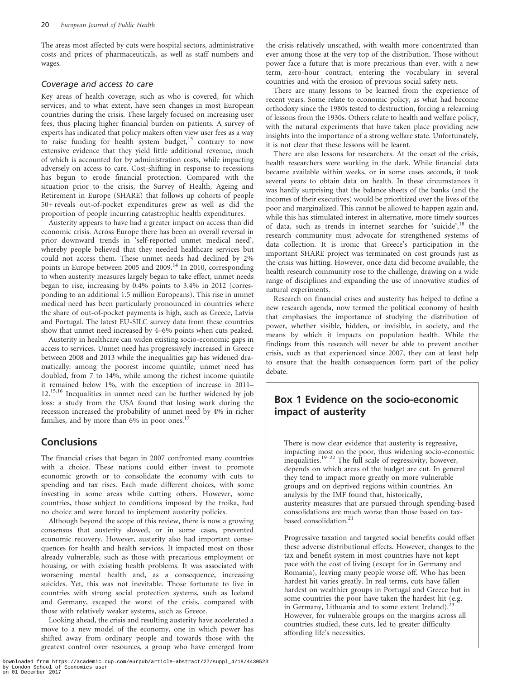The areas most affected by cuts were hospital sectors, administrative costs and prices of pharmaceuticals, as well as staff numbers and wages.

#### Coverage and access to care

Key areas of health coverage, such as who is covered, for which services, and to what extent, have seen changes in most European countries during the crisis. These largely focused on increasing user fees, thus placing higher financial burden on patients. A survey of experts has indicated that policy makers often view user fees as a way to raise funding for health system budget, $13$  contrary to now extensive evidence that they yield little additional revenue, much of which is accounted for by administration costs, while impacting adversely on access to care. Cost-shifting in response to recessions has begun to erode financial protection. Compared with the situation prior to the crisis, the Survey of Health, Ageing and Retirement in Europe (SHARE) that follows up cohorts of people 50+ reveals out-of-pocket expenditures grew as well as did the proportion of people incurring catastrophic health expenditures.

Austerity appears to have had a greater impact on access than did economic crisis. Across Europe there has been an overall reversal in prior downward trends in 'self-reported unmet medical need', whereby people believed that they needed healthcare services but could not access them. These unmet needs had declined by 2% points in Europe between 2005 and 2009.<sup>[14](#page-4-0)</sup> In 2010, corresponding to when austerity measures largely began to take effect, unmet needs began to rise, increasing by 0.4% points to 3.4% in 2012 (corresponding to an additional 1.5 million Europeans). This rise in unmet medical need has been particularly pronounced in countries where the share of out-of-pocket payments is high, such as Greece, Latvia and Portugal. The latest EU-SILC survey data from these countries show that unmet need increased by 4–6% points when cuts peaked.

Austerity in healthcare can widen existing socio-economic gaps in access to services. Unmet need has progressively increased in Greece between 2008 and 2013 while the inequalities gap has widened dramatically: among the poorest income quintile, unmet need has doubled, from 7 to 14%, while among the richest income quintile it remained below 1%, with the exception of increase in 2011– 12.[15](#page-4-0),[16](#page-4-0) Inequalities in unmet need can be further widened by job loss: a study from the USA found that losing work during the recession increased the probability of unmet need by 4% in richer families, and by more than 6% in poor ones.<sup>1</sup>

### **Conclusions**

The financial crises that began in 2007 confronted many countries with a choice. These nations could either invest to promote economic growth or to consolidate the economy with cuts to spending and tax rises. Each made different choices, with some investing in some areas while cutting others. However, some countries, those subject to conditions imposed by the troika, had no choice and were forced to implement austerity policies.

Although beyond the scope of this review, there is now a growing consensus that austerity slowed, or in some cases, prevented economic recovery. However, austerity also had important consequences for health and health services. It impacted most on those already vulnerable, such as those with precarious employment or housing, or with existing health problems. It was associated with worsening mental health and, as a consequence, increasing suicides. Yet, this was not inevitable. Those fortunate to live in countries with strong social protection systems, such as Iceland and Germany, escaped the worst of the crisis, compared with those with relatively weaker systems, such as Greece.

Looking ahead, the crisis and resulting austerity have accelerated a move to a new model of the economy, one in which power has shifted away from ordinary people and towards those with the greatest control over resources, a group who have emerged from

the crisis relatively unscathed, with wealth more concentrated than ever among those at the very top of the distribution. Those without power face a future that is more precarious than ever, with a new term, zero-hour contract, entering the vocabulary in several countries and with the erosion of previous social safety nets.

There are many lessons to be learned from the experience of recent years. Some relate to economic policy, as what had become orthodoxy since the 1980s tested to destruction, forcing a relearning of lessons from the 1930s. Others relate to health and welfare policy, with the natural experiments that have taken place providing new insights into the importance of a strong welfare state. Unfortunately, it is not clear that these lessons will be learnt.

There are also lessons for researchers. At the onset of the crisis, health researchers were working in the dark. While financial data became available within weeks, or in some cases seconds, it took several years to obtain data on health. In these circumstances it was hardly surprising that the balance sheets of the banks (and the incomes of their executives) would be prioritized over the lives of the poor and marginalized. This cannot be allowed to happen again and, while this has stimulated interest in alternative, more timely sources of data, such as trends in internet searches for 'suicide',<sup>[18](#page-4-0)</sup> the research community must advocate for strengthened systems of data collection. It is ironic that Greece's participation in the important SHARE project was terminated on cost grounds just as the crisis was hitting. However, once data did become available, the health research community rose to the challenge, drawing on a wide range of disciplines and expanding the use of innovative studies of natural experiments.

Research on financial crises and austerity has helped to define a new research agenda, now termed the political economy of health that emphasises the importance of studying the distribution of power, whether visible, hidden, or invisible, in society, and the means by which it impacts on population health. While the findings from this research will never be able to prevent another crisis, such as that experienced since 2007, they can at least help to ensure that the health consequences form part of the policy debate.

# Box 1 Evidence on the socio-economic impact of austerity

There is now clear evidence that austerity is regressive, impacting most on the poor, thus widening socio-economic inequalities.[19–22](#page-4-0) The full scale of regressivity, however, depends on which areas of the budget are cut. In general they tend to impact more greatly on more vulnerable groups and on deprived regions within countries. An analysis by the IMF found that, historically, austerity measures that are pursued through spending-based consolidations are much worse than those based on taxbased consolidation.<sup>2</sup>

Progressive taxation and targeted social benefits could offset these adverse distributional effects. However, changes to the tax and benefit system in most countries have not kept pace with the cost of living (except for in Germany and Romania), leaving many people worse off. Who has been hardest hit varies greatly. In real terms, cuts have fallen hardest on wealthier groups in Portugal and Greece but in some countries the poor have taken the hardest hit (e.g. in Germany, Lithuania and to some extent Ireland).<sup>2</sup> However, for vulnerable groups on the margins across all countries studied, these cuts, led to greater difficulty affording life's necessities.